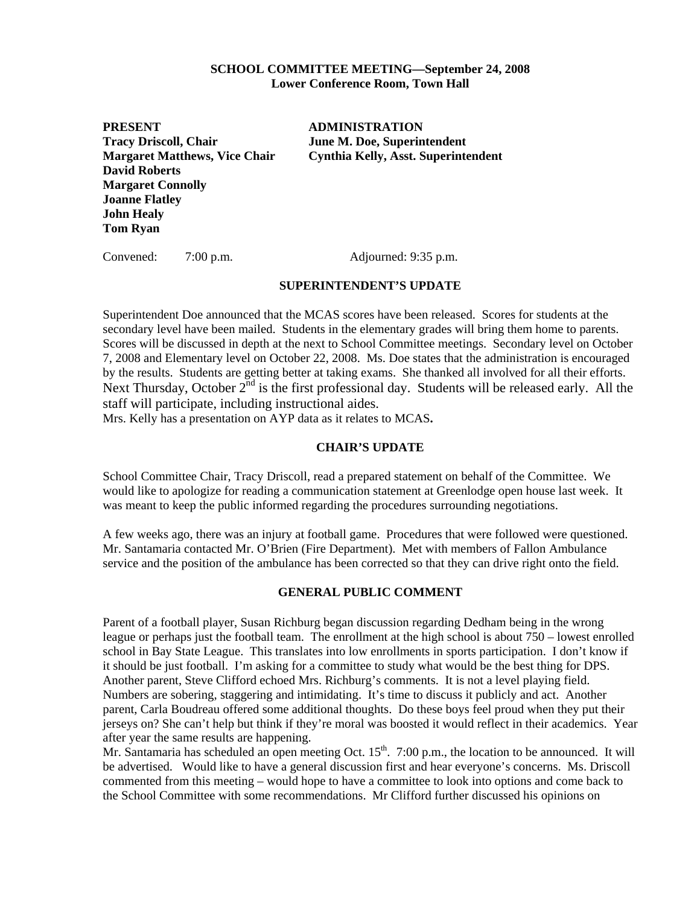### **SCHOOL COMMITTEE MEETING—September 24, 2008 Lower Conference Room, Town Hall**

**PRESENT ADMINISTRATION Tracy Driscoll, Chair June M. Doe, Superintendent David Roberts Margaret Connolly Joanne Flatley John Healy Tom Ryan** 

**Margaret Matthews, Vice Chair Cynthia Kelly, Asst. Superintendent** 

Convened: 7:00 p.m. Adjourned: 9:35 p.m.

### **SUPERINTENDENT'S UPDATE**

Superintendent Doe announced that the MCAS scores have been released. Scores for students at the secondary level have been mailed. Students in the elementary grades will bring them home to parents. Scores will be discussed in depth at the next to School Committee meetings. Secondary level on October 7, 2008 and Elementary level on October 22, 2008. Ms. Doe states that the administration is encouraged by the results. Students are getting better at taking exams. She thanked all involved for all their efforts. Next Thursday, October  $2^{nd}$  is the first professional day. Students will be released early. All the staff will participate, including instructional aides.

Mrs. Kelly has a presentation on AYP data as it relates to MCAS**.** 

# **CHAIR'S UPDATE**

School Committee Chair, Tracy Driscoll, read a prepared statement on behalf of the Committee. We would like to apologize for reading a communication statement at Greenlodge open house last week. It was meant to keep the public informed regarding the procedures surrounding negotiations.

A few weeks ago, there was an injury at football game. Procedures that were followed were questioned. Mr. Santamaria contacted Mr. O'Brien (Fire Department). Met with members of Fallon Ambulance service and the position of the ambulance has been corrected so that they can drive right onto the field.

### **GENERAL PUBLIC COMMENT**

Parent of a football player, Susan Richburg began discussion regarding Dedham being in the wrong league or perhaps just the football team. The enrollment at the high school is about 750 – lowest enrolled school in Bay State League. This translates into low enrollments in sports participation. I don't know if it should be just football. I'm asking for a committee to study what would be the best thing for DPS. Another parent, Steve Clifford echoed Mrs. Richburg's comments. It is not a level playing field. Numbers are sobering, staggering and intimidating. It's time to discuss it publicly and act. Another parent, Carla Boudreau offered some additional thoughts. Do these boys feel proud when they put their jerseys on? She can't help but think if they're moral was boosted it would reflect in their academics. Year after year the same results are happening.

Mr. Santamaria has scheduled an open meeting Oct.  $15<sup>th</sup>$ . 7:00 p.m., the location to be announced. It will be advertised. Would like to have a general discussion first and hear everyone's concerns. Ms. Driscoll commented from this meeting – would hope to have a committee to look into options and come back to the School Committee with some recommendations. Mr Clifford further discussed his opinions on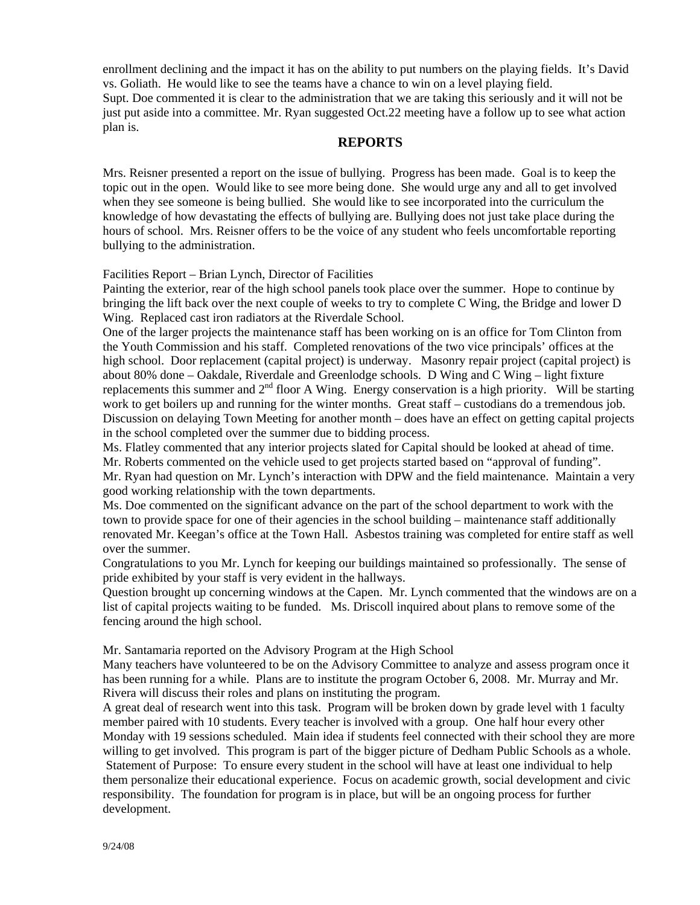enrollment declining and the impact it has on the ability to put numbers on the playing fields. It's David vs. Goliath. He would like to see the teams have a chance to win on a level playing field. Supt. Doe commented it is clear to the administration that we are taking this seriously and it will not be just put aside into a committee. Mr. Ryan suggested Oct.22 meeting have a follow up to see what action plan is.

# **REPORTS**

Mrs. Reisner presented a report on the issue of bullying. Progress has been made. Goal is to keep the topic out in the open. Would like to see more being done. She would urge any and all to get involved when they see someone is being bullied. She would like to see incorporated into the curriculum the knowledge of how devastating the effects of bullying are. Bullying does not just take place during the hours of school. Mrs. Reisner offers to be the voice of any student who feels uncomfortable reporting bullying to the administration.

Facilities Report – Brian Lynch, Director of Facilities

Painting the exterior, rear of the high school panels took place over the summer. Hope to continue by bringing the lift back over the next couple of weeks to try to complete C Wing, the Bridge and lower D Wing. Replaced cast iron radiators at the Riverdale School.

One of the larger projects the maintenance staff has been working on is an office for Tom Clinton from the Youth Commission and his staff. Completed renovations of the two vice principals' offices at the high school. Door replacement (capital project) is underway. Masonry repair project (capital project) is about 80% done – Oakdale, Riverdale and Greenlodge schools. D Wing and C Wing – light fixture replacements this summer and  $2<sup>nd</sup>$  floor A Wing. Energy conservation is a high priority. Will be starting work to get boilers up and running for the winter months. Great staff – custodians do a tremendous job. Discussion on delaying Town Meeting for another month – does have an effect on getting capital projects in the school completed over the summer due to bidding process.

Ms. Flatley commented that any interior projects slated for Capital should be looked at ahead of time. Mr. Roberts commented on the vehicle used to get projects started based on "approval of funding".

Mr. Ryan had question on Mr. Lynch's interaction with DPW and the field maintenance. Maintain a very good working relationship with the town departments.

Ms. Doe commented on the significant advance on the part of the school department to work with the town to provide space for one of their agencies in the school building – maintenance staff additionally renovated Mr. Keegan's office at the Town Hall. Asbestos training was completed for entire staff as well over the summer.

Congratulations to you Mr. Lynch for keeping our buildings maintained so professionally. The sense of pride exhibited by your staff is very evident in the hallways.

Question brought up concerning windows at the Capen. Mr. Lynch commented that the windows are on a list of capital projects waiting to be funded. Ms. Driscoll inquired about plans to remove some of the fencing around the high school.

Mr. Santamaria reported on the Advisory Program at the High School

Many teachers have volunteered to be on the Advisory Committee to analyze and assess program once it has been running for a while. Plans are to institute the program October 6, 2008. Mr. Murray and Mr. Rivera will discuss their roles and plans on instituting the program.

A great deal of research went into this task. Program will be broken down by grade level with 1 faculty member paired with 10 students. Every teacher is involved with a group. One half hour every other Monday with 19 sessions scheduled. Main idea if students feel connected with their school they are more willing to get involved. This program is part of the bigger picture of Dedham Public Schools as a whole. Statement of Purpose: To ensure every student in the school will have at least one individual to help them personalize their educational experience. Focus on academic growth, social development and civic responsibility. The foundation for program is in place, but will be an ongoing process for further development.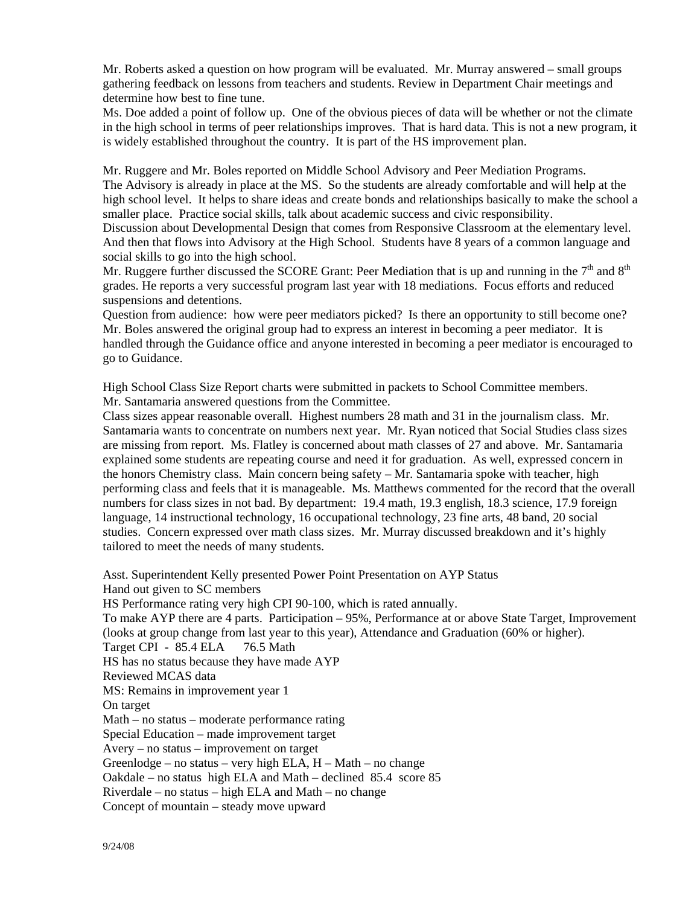Mr. Roberts asked a question on how program will be evaluated. Mr. Murray answered – small groups gathering feedback on lessons from teachers and students. Review in Department Chair meetings and determine how best to fine tune.

Ms. Doe added a point of follow up. One of the obvious pieces of data will be whether or not the climate in the high school in terms of peer relationships improves. That is hard data. This is not a new program, it is widely established throughout the country. It is part of the HS improvement plan.

Mr. Ruggere and Mr. Boles reported on Middle School Advisory and Peer Mediation Programs. The Advisory is already in place at the MS. So the students are already comfortable and will help at the high school level. It helps to share ideas and create bonds and relationships basically to make the school a smaller place. Practice social skills, talk about academic success and civic responsibility.

Discussion about Developmental Design that comes from Responsive Classroom at the elementary level. And then that flows into Advisory at the High School. Students have 8 years of a common language and social skills to go into the high school.

Mr. Ruggere further discussed the SCORE Grant: Peer Mediation that is up and running in the  $7<sup>th</sup>$  and  $8<sup>th</sup>$ grades. He reports a very successful program last year with 18 mediations. Focus efforts and reduced suspensions and detentions.

Question from audience: how were peer mediators picked? Is there an opportunity to still become one? Mr. Boles answered the original group had to express an interest in becoming a peer mediator. It is handled through the Guidance office and anyone interested in becoming a peer mediator is encouraged to go to Guidance.

High School Class Size Report charts were submitted in packets to School Committee members. Mr. Santamaria answered questions from the Committee.

Class sizes appear reasonable overall. Highest numbers 28 math and 31 in the journalism class. Mr. Santamaria wants to concentrate on numbers next year. Mr. Ryan noticed that Social Studies class sizes are missing from report. Ms. Flatley is concerned about math classes of 27 and above. Mr. Santamaria explained some students are repeating course and need it for graduation. As well, expressed concern in the honors Chemistry class. Main concern being safety – Mr. Santamaria spoke with teacher, high performing class and feels that it is manageable. Ms. Matthews commented for the record that the overall numbers for class sizes in not bad. By department: 19.4 math, 19.3 english, 18.3 science, 17.9 foreign language, 14 instructional technology, 16 occupational technology, 23 fine arts, 48 band, 20 social studies. Concern expressed over math class sizes. Mr. Murray discussed breakdown and it's highly tailored to meet the needs of many students.

Asst. Superintendent Kelly presented Power Point Presentation on AYP Status Hand out given to SC members HS Performance rating very high CPI 90-100, which is rated annually. To make AYP there are 4 parts. Participation – 95%, Performance at or above State Target, Improvement (looks at group change from last year to this year), Attendance and Graduation (60% or higher). Target CPI - 85.4 ELA 76.5 Math HS has no status because they have made AYP Reviewed MCAS data MS: Remains in improvement year 1 On target Math – no status – moderate performance rating Special Education – made improvement target Avery – no status – improvement on target Greenlodge – no status – very high ELA,  $H - Math - no change$ Oakdale – no status high ELA and Math – declined 85.4 score 85 Riverdale – no status – high ELA and Math – no change Concept of mountain – steady move upward